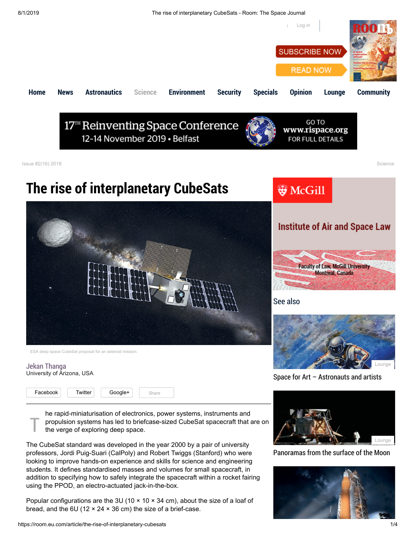

[Panoramas from the surface of the Moon](https://room.eu.com/article/panoramas-from-the-surface-of-the-moon)



Popular configurations are the 3U (10  $\times$  10  $\times$  34 cm), about the size of a loaf of bread, and the 6U (12  $\times$  24  $\times$  36 cm) the size of a brief-case.

The CubeSat standard was developed in the year 2000 by a pair of university professors, Jordi Puig-Suari (CalPoly) and Robert Twiggs (Stanford) who were looking to improve hands-on experience and skills for science and engineering students. It defines standardised masses and volumes for small spacecraft, in addition to specifying how to safely integrate the spacecraft within a rocket fairing

using the PPOD, an electro-actuated jack-in-the-box.